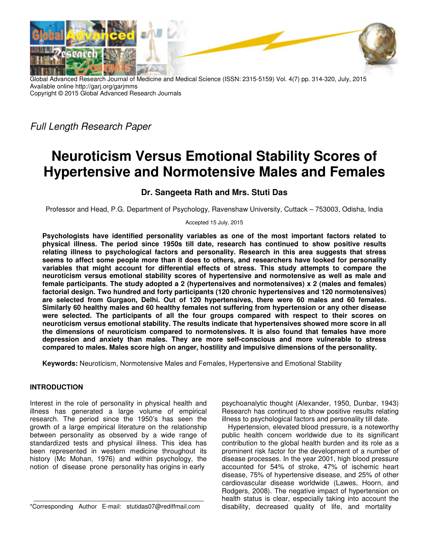

Global Advanced Research Journal of Medicine and Medical Science (ISSN: 2315-5159) Vol. 4(7) pp. 314-320, July, 2015 Available online http://garj.org/garjmms Copyright © 2015 Global Advanced Research Journals

*Full Length Research Paper* 

# **Neuroticism Versus Emotional Stability Scores of Hypertensive and Normotensive Males and Females**

## **Dr. Sangeeta Rath and Mrs. Stuti Das**

Professor and Head, P.G. Department of Psychology, Ravenshaw University, Cuttack – 753003, Odisha, India

Accepted 15 July, 2015

**Psychologists have identified personality variables as one of the most important factors related to physical illness. The period since 1950s till date, research has continued to show positive results relating illness to psychological factors and personality. Research in this area suggests that stress seems to affect some people more than it does to others, and researchers have looked for personality variables that might account for differential effects of stress. This study attempts to compare the neuroticism versus emotional stability scores of hypertensive and normotensive as well as male and female participants. The study adopted a 2 (hypertensives and normotensives) x 2 (males and females) factorial design. Two hundred and forty participants (120 chronic hypertensives and 120 normotensives) are selected from Gurgaon, Delhi. Out of 120 hypertensives, there were 60 males and 60 females. Similarly 60 healthy males and 60 healthy females not suffering from hypertension or any other disease were selected. The participants of all the four groups compared with respect to their scores on neuroticism versus emotional stability. The results indicate that hypertensives showed more score in all the dimensions of neuroticism compared to normotensives. It is also found that females have more depression and anxiety than males. They are more self-conscious and more vulnerable to stress compared to males. Males score high on anger, hostility and impulsive dimensions of the personality.** 

**Keywords:** Neuroticism, Normotensive Males and Females, Hypertensive and Emotional Stability

#### **INTRODUCTION**

Interest in the role of personality in physical health and illness has generated a large volume of empirical research. The period since the 1950's has seen the growth of a large empirical literature on the relationship between personality as observed by a wide range of standardized tests and physical illness. This idea has been represented in western medicine throughout its history (Mc Mohan, 1976) and within psychology, the notion of disease prone personality has origins in early

psychoanalytic thought (Alexander, 1950, Dunbar, 1943) Research has continued to show positive results relating illness to psychological factors and personality till date.

Hypertension, elevated blood pressure, is a noteworthy public health concern worldwide due to its significant contribution to the global health burden and its role as a prominent risk factor for the development of a number of disease processes. In the year 2001, high blood pressure accounted for 54% of stroke, 47% of ischemic heart disease, 75% of hypertensive disease, and 25% of other cardiovascular disease worldwide (Lawes, Hoorn, and Rodgers, 2008). The negative impact of hypertension on health status is clear, especially taking into account the disability, decreased quality of life, and mortality

<sup>\*</sup>Corresponding Author E-mail: stutidas07@rediffmail.com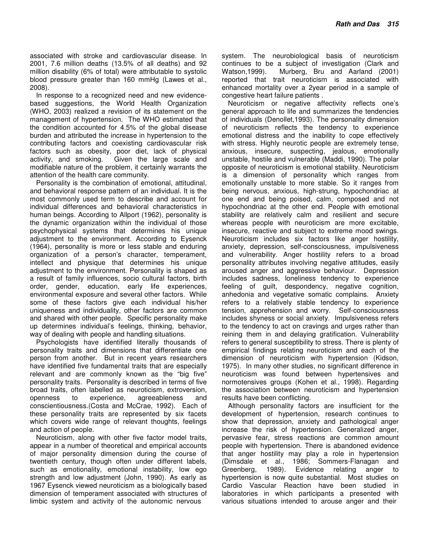associated with stroke and cardiovascular disease. In 2001, 7.6 million deaths (13.5% of all deaths) and 92 million disability (6% of total) were attributable to systolic blood pressure greater than 160 mmHg (Lawes et al., 2008).

In response to a recognized need and new evidencebased suggestions, the World Health Organization (WHO, 2003) realized a revision of its statement on the management of hypertension. The WHO estimated that the condition accounted for 4.5% of the global disease burden and attributed the increase in hypertension to the contributing factors and coexisting cardiovascular risk factors such as obesity, poor diet, lack of physical activity, and smoking. Given the large scale and modifiable nature of the problem, it certainly warrants the attention of the health care community.

Personality is the combination of emotional, attitudinal, and behavioral response pattern of an individual. It is the most commonly used term to describe and account for individual differences and behavioral characteristics in human beings. According to Allport (1962), personality is the dynamic organization within the individual of those psychophysical systems that determines his unique adjustment to the environment. According to Eysenck (1964), personality is more or less stable and enduring organization of a person's character, temperament, intellect and physique that determines his unique adjustment to the environment. Personality is shaped as a result of family influences, socio cultural factors, birth order, gender, education, early life experiences, environmental exposure and several other factors. While some of these factors give each individual his/her uniqueness and individuality, other factors are common and shared with other people. Specific personality make up determines individual's feelings, thinking, behavior, way of dealing with people and handling situations.

Psychologists have identified literally thousands of personality traits and dimensions that differentiate one person from another. But in recent years researchers have identified five fundamental traits that are especially relevant and are commonly known as the "big five" personality traits. Personality is described in terms of five broad traits, often labelled as neuroticism, extroversion, openness to experience, agreeableness and conscientiousness.(Costa and McCrae, 1992). Each of these personality traits are represented by six facets which covers wide range of relevant thoughts, feelings and action of people.

Neuroticism, along with other five factor model traits, appear in a number of theoretical and empirical accounts of major personality dimension during the course of twentieth century, though often under different labels, such as emotionality, emotional instability, low ego strength and low adjustment (John, 1990). As early as 1967 Eysenck viewed neuroticism as a biologically based dimension of temperament associated with structures of limbic system and activity of the autonomic nervous

system. The neurobiological basis of neuroticism continues to be a subject of investigation (Clark and Watson,1999). Murberg, Bru and Aarland (2001) reported that trait neuroticism is associated with enhanced mortality over a 2year period in a sample of congestive heart failure patients .

Neuroticism or negative affectivity reflects one's general approach to life and summarizes the tendencies of individuals (Denollet,1993). The personality dimension of neuroticism reflects the tendency to experience emotional distress and the inability to cope effectively with stress. Highly neurotic people are extremely tense, anxious, insecure, suspecting, jealous, emotionally unstable, hostile and vulnerable (Maddi, 1990). The polar opposite of neuroticism is emotional stability. Neuroticism is a dimension of personality which ranges from emotionally unstable to more stable. So it ranges from being nervous, anxious, high-strung, hypochondriac at one end and being poised, calm, composed and not hypochondriac at the other end. People with emotional stability are relatively calm and resilient and secure whereas people with neuroticism are more excitable, insecure, reactive and subject to extreme mood swings. Neuroticism includes six factors like anger hostility, anxiety, depression, self-consciousness, impulsiveness and vulnerability. Anger hostility refers to a broad personality attributes involving negative attitudes, easily aroused anger and aggressive behaviour. Depression includes sadness, loneliness tendency to experience feeling of guilt, despondency, negative cognition, anhedonia and vegetative somatic complains. Anxiety refers to a relatively stable tendency to experience tension, apprehension and worry. Self-consciousness includes shyness or social anxiety. Impulsiveness refers to the tendency to act on cravings and urges rather than reining them in and delaying gratification. Vulnerability refers to general susceptibility to stress. There is plenty of empirical findings relating neuroticism and each of the dimension of neuroticism with hypertension (Kidson, 1975). In many other studies, no significant difference in neuroticism was found between hypertensives and normotensives groups (Kohen et al., 1998). Regarding the association between neuroticism and hypertension results have been conflicting.

Although personality factors are insufficient for the development of hypertension, research continues to show that depression, anxiety and pathological anger increase the risk of hypertension. Generalized anger, pervasive fear, stress reactions are common amount people with hypertension. There is abandoned evidence that anger hostility may play a role in hypertension (Dimsdale et al., 1986; Sommers-Flanagan and Greenberg, 1989). Evidence relating anger to hypertension is now quite substantial. Most studies on Cardio Vascular Reaction have been studied in laboratories in which participants a presented with various situations intended to arouse anger and their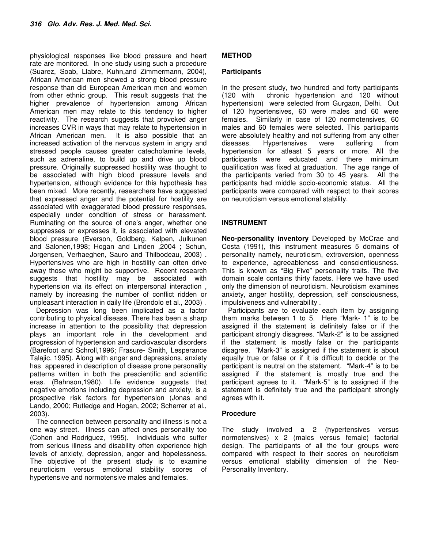physiological responses like blood pressure and heart rate are monitored. In one study using such a procedure (Suarez, Soab, Llabre, Kuhn,and Zimmermann, 2004), African American men showed a strong blood pressure response than did European American men and women from other ethnic group. This result suggests that the higher prevalence of hypertension among African American men may relate to this tendency to higher reactivity. The research suggests that provoked anger increases CVR in ways that may relate to hypertension in African American men. It is also possible that an increased activation of the nervous system in angry and stressed people causes greater catecholamine levels, such as adrenaline, to build up and drive up blood pressure. Originally suppressed hostility was thought to be associated with high blood pressure levels and hypertension, although evidence for this hypothesis has been mixed. More recently, researchers have suggested that expressed anger and the potential for hostility are associated with exaggerated blood pressure responses, especially under condition of stress or harassment. Ruminating on the source of one's anger, whether one suppresses or expresses it, is associated with elevated blood pressure (Everson, Goldberg, Kalpen, Julkunen and Salonen,1998; Hogan and Linden ,2004 ; Schun, Jorgensen, Verhaeghen, Sauro and Thilbodeau, 2003) . Hypertensives who are high in hostility can often drive away those who might be supportive. Recent research suggests that hostility may be associated with hypertension via its effect on interpersonal interaction , namely by increasing the number of conflict ridden or unpleasant interaction in daily life (Brondolo et al., 2003) .

Depression was long been implicated as a factor contributing to physical disease. There has been a sharp increase in attention to the possibility that depression plays an important role in the development and progression of hypertension and cardiovascular disorders (Barefoot and Schroll,1996; Frasure- Smith, Lesperance Talajic, 1995). Along with anger and depressions, anxiety has appeared in description of disease prone personality patterns written in both the prescientific and scientific eras. (Bahnson,1980). Life evidence suggests that negative emotions including depression and anxiety, is a prospective risk factors for hypertension (Jonas and Lando, 2000; Rutledge and Hogan, 2002; Scherrer et al., 2003).

The connection between personality and illness is not a one way street. Illness can affect ones personality too (Cohen and Rodriguez, 1995). Individuals who suffer from serious illness and disability often experience high levels of anxiety, depression, anger and hopelessness. The objective of the present study is to examine neuroticism versus emotional stability scores of hypertensive and normotensive males and females.

## **METHOD**

#### **Participants**

In the present study, two hundred and forty participants (120 with chronic hypertension and 120 without hypertension) were selected from Gurgaon, Delhi. Out of 120 hypertensives, 60 were males and 60 were females. Similarly in case of 120 normotensives, 60 males and 60 females were selected. This participants were absolutely healthy and not suffering from any other diseases. Hypertensives were suffering from hypertension for atleast 5 years or more. All the participants were educated and there minimum qualification was fixed at graduation. The age range of the participants varied from 30 to 45 years. All the participants had middle socio-economic status. All the participants were compared with respect to their scores on neuroticism versus emotional stability.

### **INSTRUMENT**

**Neo-personality inventory** Developed by McCrae and Costa (1991), this instrument measures 5 domains of personality namely, neuroticism, extroversion, openness to experience, agreeableness and conscientiousness. This is known as "Big Five" personality traits. The five domain scale contains thirty facets. Here we have used only the dimension of neuroticism. Neuroticism examines anxiety, anger hostility, depression, self consciousness, impulsiveness and vulnerability .

Participants are to evaluate each item by assigning them marks between 1 to 5. Here "Mark- 1" is to be assigned if the statement is definitely false or if the participant strongly disagrees. "Mark-2" is to be assigned if the statement is mostly false or the participants disagree. "Mark-3" is assigned if the statement is about equally true or false or if it is difficult to decide or the participant is neutral on the statement. "Mark-4" is to be assigned if the statement is mostly true and the participant agrees to it. "Mark-5" is to assigned if the statement is definitely true and the participant strongly agrees with it.

#### **Procedure**

The study involved a 2 (hypertensives versus normotensives) x 2 (males versus female) factorial design. The participants of all the four groups were compared with respect to their scores on neuroticism versus emotional stability dimension of the Neo-Personality Inventory.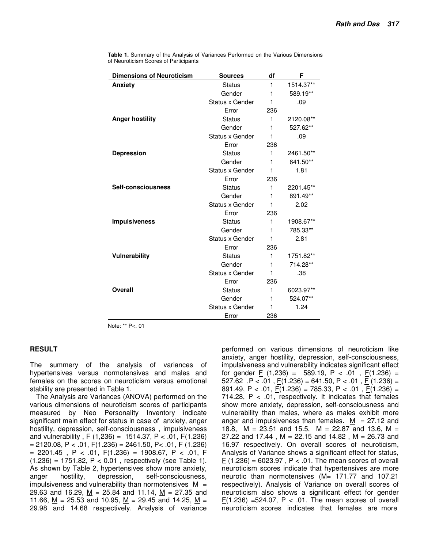| <b>Dimensions of Neuroticism</b> | <b>Sources</b>  | df  | F         |  |
|----------------------------------|-----------------|-----|-----------|--|
| Anxiety                          | <b>Status</b>   | 1   | 1514.37** |  |
|                                  | Gender          | 1   | 589.19**  |  |
|                                  | Status x Gender | 1   | .09       |  |
|                                  | Error           | 236 |           |  |
| <b>Anger hostility</b>           | <b>Status</b>   | 1   | 2120.08** |  |
|                                  | Gender          | 1   | 527.62**  |  |
|                                  | Status x Gender | 1   | .09       |  |
|                                  | Error           | 236 |           |  |
| <b>Depression</b>                | <b>Status</b>   | 1   | 2461.50** |  |
|                                  | Gender          | 1   | 641.50**  |  |
|                                  | Status x Gender | 1   | 1.81      |  |
|                                  | Error           | 236 |           |  |
| Self-consciousness               | <b>Status</b>   | 1   | 2201.45** |  |
|                                  | Gender          | 1   | 891.49**  |  |
|                                  | Status x Gender | 1   | 2.02      |  |
|                                  | Error           | 236 |           |  |
| <b>Impulsiveness</b>             | <b>Status</b>   | 1   | 1908.67** |  |
|                                  | Gender          | 1   | 785.33**  |  |
|                                  | Status x Gender | 1   | 2.81      |  |
|                                  | Error           | 236 |           |  |
| <b>Vulnerability</b>             | <b>Status</b>   | 1   | 1751.82** |  |
|                                  | Gender          | 1   | 714.28**  |  |
|                                  | Status x Gender | 1   | .38       |  |
|                                  | Error           | 236 |           |  |
| Overall                          | <b>Status</b>   | 1   |           |  |
|                                  | Gender          | 1   | 524.07**  |  |
|                                  | Status x Gender | 1   | 1.24      |  |
|                                  | Error           | 236 |           |  |

**Table 1.** Summary of the Analysis of Variances Performed on the Various Dimensions of Neuroticism Scores of Participants

Note: \*\* P<. 01

#### **RESULT**

The summery of the analysis of variances of hypertensives versus normotensives and males and females on the scores on neuroticism versus emotional stability are presented in Table 1.

The Analysis are Variances (ANOVA) performed on the various dimensions of neuroticism scores of participants measured by Neo Personality Inventory indicate significant main effect for status in case of anxiety, anger hostility, depression, self-consciousness , impulsiveness and vulnerability,  $\underline{F}$  (1,236) = 1514.37, P < .01,  $\underline{F}$ (1.236)  $= 2120.08$ , P < .01,  $\underline{F}(1.236) = 2461.50$ , P < .01,  $\underline{F}(1.236)$  $= 2201.45$ , P < .01,  $\underline{F}(1.236) = 1908.67$ , P < .01,  $\underline{F}(1.236) = 1908.67$  $(1.236) = 1751.82, P < 0.01$ , respectively (see Table 1). As shown by Table 2, hypertensives show more anxiety, anger hostility, depression, self-consciousness, impulsiveness and vulnerability than normotensives  $M =$ 29.63 and 16.29, M = 25.84 and 11.14, M = 27.35 and 11.66, M = 25.53 and 10.95, M = 29.45 and 14.25, M = 29.98 and 14.68 respectively. Analysis of variance

performed on various dimensions of neuroticism like anxiety, anger hostility, depression, self-consciousness, impulsiveness and vulnerability indicates significant effect for gender  $\underline{F}$  (1,236) = 589.19, P < .01,  $\underline{F}$ (1.236) = 527.62,  $P < 0.01$ ,  $F(1.236) = 641.50$ ,  $P < 0.01$ ,  $F(1.236) =$ 891.49, P < .01, F(1.236) = 785.33, P < .01, F(1.236) = 714.28,  $P < .01$ , respectively. It indicates that females show more anxiety, depression, self-consciousness and vulnerability than males, where as males exhibit more anger and impulsiveness than females.  $M = 27.12$  and 18.8,  $M = 23.51$  and 15.5,  $M = 22.87$  and 13.6,  $M =$ 27.22 and 17.44,  $M = 22.15$  and 14.82,  $M = 26.73$  and 16.97 respectively. On overall scores of neuroticism, Analysis of Variance shows a significant effect for status,  $F(1.236) = 6023.97$ , P < .01. The mean scores of overall neuroticism scores indicate that hypertensives are more neurotic than normotensives (M= 171.77 and 107.21 respectively). Analysis of Variance on overall scores of neuroticism also shows a significant effect for gender  $F(1.236)$  =524.07, P < .01. The mean scores of overall neuroticism scores indicates that females are more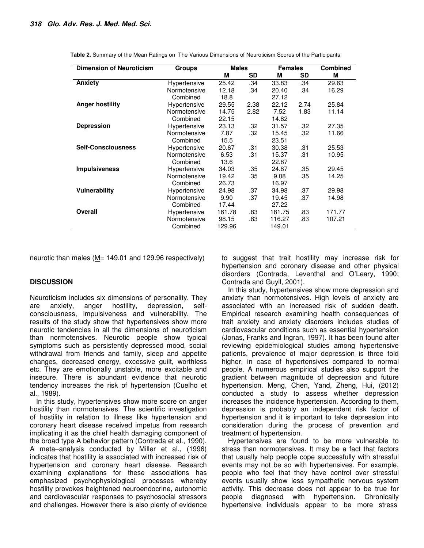| <b>Dimension of Neuroticism</b> | Groups       | <b>Males</b> |           | <b>Females</b> |      | <b>Combined</b> |
|---------------------------------|--------------|--------------|-----------|----------------|------|-----------------|
|                                 |              | M            | <b>SD</b> | M              | SD   | M               |
| Anxiety                         | Hypertensive | 25.42        | .34       | 33.83          | .34  | 29.63           |
|                                 | Normotensive | 12.18        | .34       | 20.40          | .34  | 16.29           |
|                                 | Combined     | 18.8         |           | 27.12          |      |                 |
| <b>Anger hostility</b>          | Hypertensive | 29.55        | 2.38      | 22.12          | 2.74 | 25.84           |
|                                 | Normotensive | 14.75        | 2.82      | 7.52           | 1.83 | 11.14           |
|                                 | Combined     | 22.15        |           | 14.82          |      |                 |
| <b>Depression</b>               | Hypertensive | 23.13        | .32       | 31.57          | .32  | 27.35           |
|                                 | Normotensive | 7.87         | .32       | 15.45          | .32  | 11.66           |
|                                 | Combined     | 15.5         |           | 23.51          |      |                 |
| <b>Self-Consciousness</b>       | Hypertensive | 20.67        | .31       | 30.38          | .31  | 25.53           |
|                                 | Normotensive | 6.53         | .31       | 15.37          | .31  | 10.95           |
|                                 | Combined     | 13.6         |           | 22.87          |      |                 |
| <b>Impulsiveness</b>            | Hypertensive | 34.03        | .35       | 24.87          | .35  | 29.45           |
|                                 | Normotensive | 19.42        | .35       | 9.08           | .35  | 14.25           |
|                                 | Combined     | 26.73        |           | 16.97          |      |                 |
| <b>Vulnerability</b>            | Hypertensive | 24.98        | .37       | 34.98          | .37  | 29.98           |
|                                 | Normotensive | 9.90         | .37       | 19.45          | .37  | 14.98           |
|                                 | Combined     | 17.44        |           | 27.22          |      |                 |
| Overall                         | Hypertensive | 161.78       | .83       | 181.75         | .83  | 171.77          |
|                                 | Normotensive | 98.15        | .83       | 116.27         | .83  | 107.21          |
|                                 | Combined     | 129.96       |           | 149.01         |      |                 |

**Table 2.** Summary of the Mean Ratings on The Various Dimensions of Neuroticism Scores of the Participants

neurotic than males ( $M$  = 149.01 and 129.96 respectively)

#### **DISCUSSION**

Neuroticism includes six dimensions of personality. They are anxiety, anger hostility, depression, selfconsciousness, impulsiveness and vulnerability. The results of the study show that hypertensives show more neurotic tendencies in all the dimensions of neuroticism than normotensives. Neurotic people show typical symptoms such as persistently depressed mood, social withdrawal from friends and family, sleep and appetite changes, decreased energy, excessive guilt, worthless etc. They are emotionally unstable, more excitable and insecure. There is abundant evidence that neurotic tendency increases the risk of hypertension (Cuelho et al., 1989).

In this study, hypertensives show more score on anger hostility than normotensives. The scientific investigation of hostility in relation to illness like hypertension and coronary heart disease received impetus from research implicating it as the chief health damaging component of the broad type A behavior pattern (Contrada et al., 1990). A meta–analysis conducted by Miller et al., (1996) indicates that hostility is associated with increased risk of hypertension and coronary heart disease. Research examining explanations for these associations has emphasized psychophysiological processes whereby hostility provokes heightened neuroendocrine, autonomic and cardiovascular responses to psychosocial stressors and challenges. However there is also plenty of evidence

to suggest that trait hostility may increase risk for hypertension and coronary disease and other physical disorders (Contrada, Leventhal and O'Leary, 1990; Contrada and Guyll, 2001).

In this study, hypertensives show more depression and anxiety than normotensives. High levels of anxiety are associated with an increased risk of sudden death. Empirical research examining health consequences of trait anxiety and anxiety disorders includes studies of cardiovascular conditions such as essential hypertension (Jonas, Franks and Ingran, 1997). It has been found after reviewing epidemiological studies among hypertensive patients, prevalence of major depression is three fold higher, in case of hypertensives compared to normal people. A numerous empirical studies also support the gradient between magnitude of depression and future hypertension. Meng, Chen, Yand, Zheng, Hui, (2012) conducted a study to assess whether depression increases the incidence hypertension. According to them, depression is probably an independent risk factor of hypertension and it is important to take depression into consideration during the process of prevention and treatment of hypertension.

Hypertensives are found to be more vulnerable to stress than normotensives. It may be a fact that factors that usually help people cope successfully with stressful events may not be so with hypertensives. For example, people who feel that they have control over stressful events usually show less sympathetic nervous system activity. This decrease does not appear to be true for people diagnosed with hypertension. Chronically hypertensive individuals appear to be more stress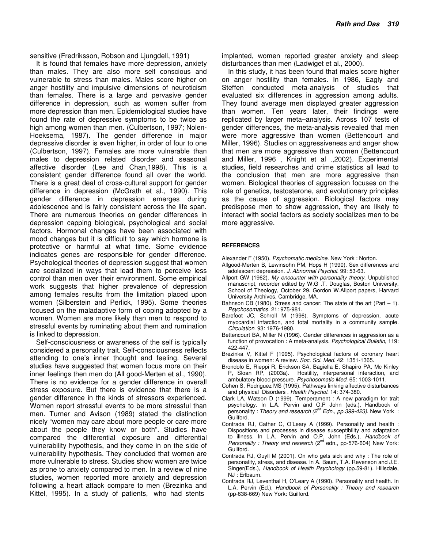sensitive (Fredriksson, Robson and Ljungdell, 1991)

It is found that females have more depression, anxiety than males. They are also more self conscious and vulnerable to stress than males. Males score higher on anger hostility and impulsive dimensions of neuroticism than females. There is a large and pervasive gender difference in depression, such as women suffer from more depression than men. Epidemiological studies have found the rate of depressive symptoms to be twice as high among women than men. (Culbertson, 1997; Nolen-Hoeksema, 1987). The gender difference in major depressive disorder is even higher, in order of four to one (Culbertson, 1997). Females are more vulnerable than males to depression related disorder and seasonal affective disorder (Lee and Chan,1998). This is a consistent gender difference found all over the world. There is a great deal of cross-cultural support for gender difference in depression (McGrath et al., 1990). This gender difference in depression emerges during adolescence and is fairly consistent across the life span. There are numerous theories on gender differences in depression capping biological, psychological and social factors. Hormonal changes have been associated with mood changes but it is difficult to say which hormone is protective or harmful at what time. Some evidence indicates genes are responsible for gender difference. Psychological theories of depression suggest that women are socialized in ways that lead them to perceive less control than men over their environment. Some empirical work suggests that higher prevalence of depression among females results from the limitation placed upon women (Silberstein and Perlick, 1995). Some theories focused on the maladaptive form of coping adopted by a women. Women are more likely than men to respond to stressful events by ruminating about them and rumination is linked to depression.

Self-consciousness or awareness of the self is typically considered a personality trait. Self-consciousness reflects attending to one's inner thought and feeling. Several studies have suggested that women focus more on their inner feelings then men do (All good-Merten et al., 1990). There is no evidence for a gender difference in overall stress exposure. But there is evidence that there is a gender difference in the kinds of stressors experienced. Women report stressful events to be more stressful than men. Turner and Avison (1989) stated the distinction nicely "women may care about more people or care more about the people they know or both". Studies have compared the differential exposure and differential vulnerability hypothesis, and they come in on the side of vulnerability hypothesis. They concluded that women are more vulnerable to stress. Studies show women are twice as prone to anxiety compared to men. In a review of nine studies, women reported more anxiety and depression following a heart attack compare to men (Brezinka and Kittel, 1995). In a study of patients, who had stents

implanted, women reported greater anxiety and sleep disturbances than men (Ladwiget et al., 2000).

In this study, it has been found that males score higher on anger hostility than females. In 1986, Eagly and Steffen conducted meta-analysis of studies that evaluated six differences in aggression among adults. They found average men displayed greater aggression than women. Ten years later, their findings were replicated by larger meta–analysis. Across 107 tests of gender differences, the meta-analysis revealed that men were more aggressive than women (Bettencourt and Miller, 1996). Studies on aggressiveness and anger show that men are more aggressive than women (Bettencourt and Miller, 1996 , Knight et al .,2002). Experimental studies, field researches and crime statistics all lead to the conclusion that men are more aggressive than women. Biological theories of aggression focuses on the role of genetics, testosterone, and evolutionary principles as the cause of aggression. Biological factors may predispose men to show aggression, they are likely to interact with social factors as society socializes men to be more aggressive.

#### **REFERENCES**

- Alexander F (1950). *Psychomatic medicine*. New York : Norton.
- Allgood-Merten B, Lewinsohn PM, Hops H (1990). Sex differences and adolescent depression. *J. Abnormal Psychol.* 99: 53-63*.*
- Allport GW (1962). *My encounter with personality theory*. Unpublished manuscript, recorder edited by W.G .T. Douglas, Boston University, School of Theology, October 29. Gordon W.Allport papers, Harvard University Archives, Cambridge, MA.
- Bahnson CB (1980). Stress and cancer: The state of the art (Part 1). *Psychosomatics.* 21: 975-981.
- Barefoot JC, Schroll M (1996). Symptoms of depression, acute myocardial infarction, and total mortality in a community sample. *Circulation.* 93: 1976-1980.
- Bettencourt BA, Miller N (1996). Gender differences in aggression as a function of provocation : A meta-analysis. *Psychological Bulletin*, 119: 422-447.
- Brezinka V, Kittel F (1995). Psychological factors of coronary heart disease in women: A review. *Soc. Sci. Med.* 42: 1351-1365.
- Brondolo E, Rieppi R, Erickson SA, Bagiella E, Shapiro PA, Mc Kinley P, Sloan RP, (2003a). Hostility, interpersonal interaction, and ambulatory blood pressure. *Psychosomatic Med.* 65: 1003-1011.
- Cohen S, Rodriguez MS (1995). Pathways linking affective disturbances and physical Disorders . *Health Psychol.* 14: 374-380.
- Clark LA, Watson D (1999). Temperament : A new paradigm for trait psychology. In L.A. Pervin and O.P John (eds.), Handbook of personality : *Theory and research (2nd Edn., pp.399-423)*. New York : Guilford.
- Contrada RJ, Cather C, O'Leary A (1999). Personality and health : Dispositions and processes in disease susceptibility and adaptation to illness. In L.A. Pervin and O.P. John (Eds.), *Handbook of Personality : Theory and research* (2<sup>nd</sup> edn., pp-576-604) New York: Guilford.
- Contrada RJ, Guyll M (2001). On who gets sick and why : The role of personality, stress, and disease. In A. Baum, T.A. Revenson and J.E. Singer(Eds.), *Handbook of Health Psychology* (pp.59-81). Hillsdale, NJ : Erlbaum.
- Contrada RJ, Leventhal H, O'Leary A (1990). Personality and health. In L.A. Pervin (Ed.), *Handbook of Personality : Theory and research*  (pp-638-669) New York: Guilford.